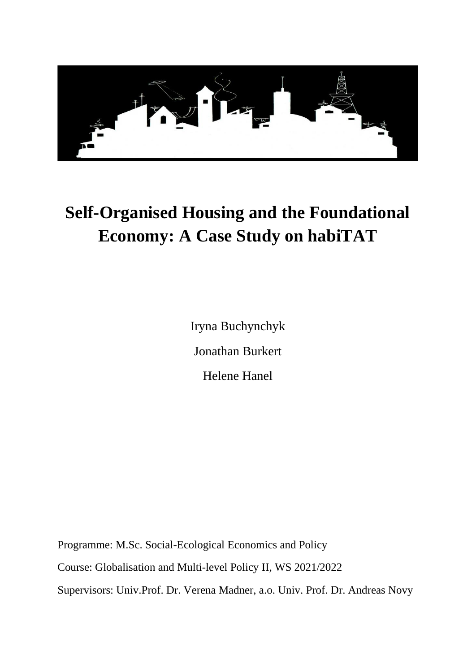

# **Self-Organised Housing and the Foundational Economy: A Case Study on habiTAT**

Iryna Buchynchyk Jonathan Burkert Helene Hanel

Programme: M.Sc. Social-Ecological Economics and Policy Course: Globalisation and Multi-level Policy II, WS 2021/2022 Supervisors: Univ.Prof. Dr. Verena Madner, a.o. Univ. Prof. Dr. Andreas Novy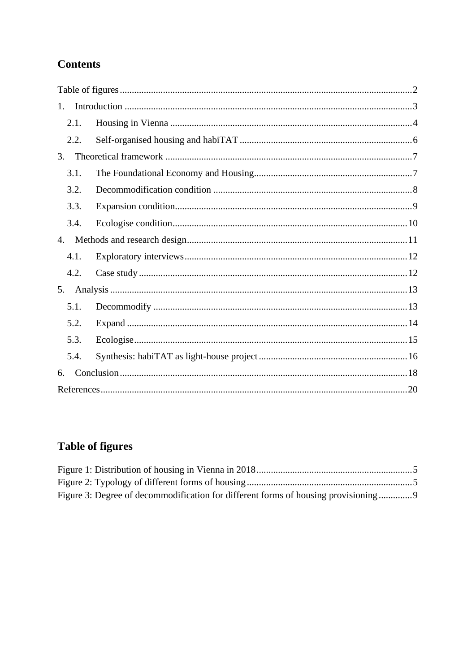# **Contents**

| 1.   |  |  |  |
|------|--|--|--|
| 2.1. |  |  |  |
| 2.2. |  |  |  |
| 3.   |  |  |  |
| 3.1. |  |  |  |
| 3.2. |  |  |  |
| 3.3. |  |  |  |
| 3.4. |  |  |  |
| 4.   |  |  |  |
| 4.1. |  |  |  |
| 4.2. |  |  |  |
| 5.   |  |  |  |
| 5.1. |  |  |  |
| 5.2. |  |  |  |
| 5.3. |  |  |  |
| 5.4. |  |  |  |
| 6.   |  |  |  |
|      |  |  |  |

# <span id="page-1-0"></span>**Table of figures**

| Figure 3: Degree of decommodification for different forms of housing provisioning 9 |  |
|-------------------------------------------------------------------------------------|--|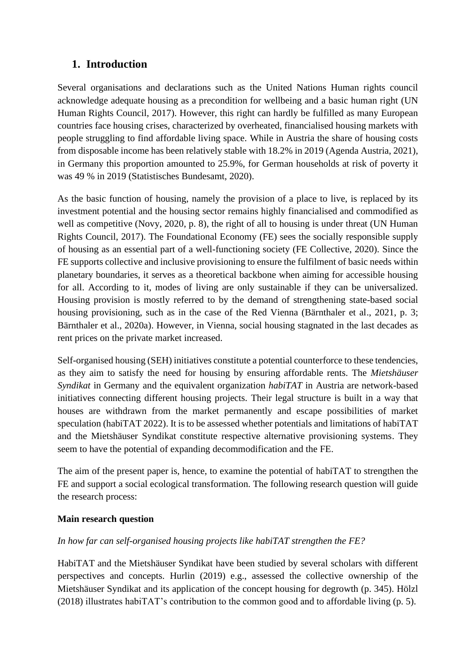## <span id="page-2-0"></span>**1. Introduction**

Several organisations and declarations such as the United Nations Human rights council acknowledge adequate housing as a precondition for wellbeing and a basic human right (UN Human Rights Council, 2017). However, this right can hardly be fulfilled as many European countries face housing crises, characterized by overheated, financialised housing markets with people struggling to find affordable living space. While in Austria the share of housing costs from disposable income has been relatively stable with 18.2% in 2019 (Agenda Austria, 2021), in Germany this proportion amounted to 25.9%, for German households at risk of poverty it was 49 % in 2019 (Statistisches Bundesamt, 2020).

As the basic function of housing, namely the provision of a place to live, is replaced by its investment potential and the housing sector remains highly financialised and commodified as well as competitive (Novy, 2020, p. 8), the right of all to housing is under threat (UN Human Rights Council, 2017). The Foundational Economy (FE) sees the socially responsible supply of housing as an essential part of a well-functioning society (FE Collective, 2020). Since the FE supports collective and inclusive provisioning to ensure the fulfilment of basic needs within planetary boundaries, it serves as a theoretical backbone when aiming for accessible housing for all. According to it, modes of living are only sustainable if they can be universalized. Housing provision is mostly referred to by the demand of strengthening state-based social housing provisioning, such as in the case of the Red Vienna (Bärnthaler et al., 2021, p. 3; Bärnthaler et al., 2020a). However, in Vienna, social housing stagnated in the last decades as rent prices on the private market increased.

Self-organised housing (SEH) initiatives constitute a potential counterforce to these tendencies, as they aim to satisfy the need for housing by ensuring affordable rents. The *Mietshäuser Syndikat* in Germany and the equivalent organization *habiTAT* in Austria are network-based initiatives connecting different housing projects. Their legal structure is built in a way that houses are withdrawn from the market permanently and escape possibilities of market speculation (habiTAT 2022). It is to be assessed whether potentials and limitations of habiTAT and the Mietshäuser Syndikat constitute respective alternative provisioning systems. They seem to have the potential of expanding decommodification and the FE.

The aim of the present paper is, hence, to examine the potential of habiTAT to strengthen the FE and support a social ecological transformation. The following research question will guide the research process:

#### **Main research question**

#### *In how far can self-organised housing projects like habiTAT strengthen the FE?*

HabiTAT and the Mietshäuser Syndikat have been studied by several scholars with different perspectives and concepts. Hurlin (2019) e.g., assessed the collective ownership of the Mietshäuser Syndikat and its application of the concept housing for degrowth (p. 345). Hölzl (2018) illustrates habiTAT's contribution to the common good and to affordable living (p. 5).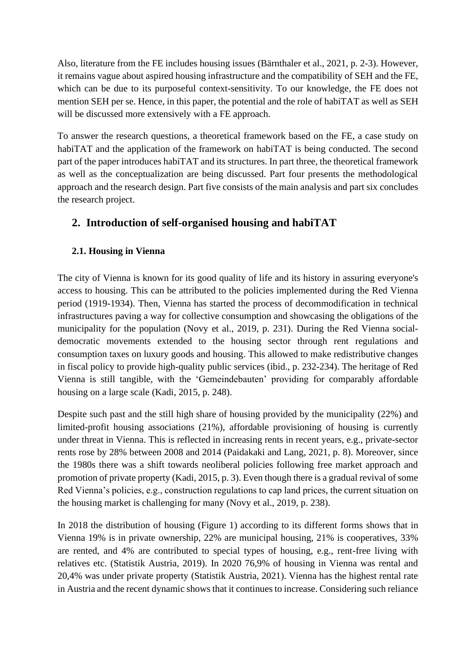Also, literature from the FE includes housing issues (Bärnthaler et al., 2021, p. 2-3). However, it remains vague about aspired housing infrastructure and the compatibility of SEH and the FE, which can be due to its purposeful context-sensitivity. To our knowledge, the FE does not mention SEH per se. Hence, in this paper, the potential and the role of habiTAT as well as SEH will be discussed more extensively with a FE approach.

To answer the research questions, a theoretical framework based on the FE, a case study on habiTAT and the application of the framework on habiTAT is being conducted. The second part of the paper introduces habiTAT and its structures. In part three, the theoretical framework as well as the conceptualization are being discussed. Part four presents the methodological approach and the research design. Part five consists of the main analysis and part six concludes the research project.

# **2. Introduction of self-organised housing and habiTAT**

#### <span id="page-3-0"></span>**2.1. Housing in Vienna**

The city of Vienna is known for its good quality of life and its history in assuring everyone's access to housing. This can be attributed to the policies implemented during the Red Vienna period (1919-1934). Then, Vienna has started the process of decommodification in technical infrastructures paving a way for collective consumption and showcasing the obligations of the municipality for the population (Novy et al., 2019, p. 231). During the Red Vienna socialdemocratic movements extended to the housing sector through rent regulations and consumption taxes on luxury goods and housing. This allowed to make redistributive changes in fiscal policy to provide high-quality public services (ibid., p. 232-234). The heritage of Red Vienna is still tangible, with the 'Gemeindebauten' providing for comparably affordable housing on a large scale (Kadi, 2015, p. 248).

Despite such past and the still high share of housing provided by the municipality (22%) and limited-profit housing associations (21%), affordable provisioning of housing is currently under threat in Vienna. This is reflected in increasing rents in recent years, e.g., private-sector rents rose by 28% between 2008 and 2014 (Paidakaki and Lang, 2021, p. 8). Moreover, since the 1980s there was a shift towards neoliberal policies following free market approach and promotion of private property (Kadi, 2015, p. 3). Even though there is a gradual revival of some Red Vienna's policies, e.g., construction regulations to cap land prices, the current situation on the housing market is challenging for many (Novy et al., 2019, p. 238).

In 2018 the distribution of housing (Figure 1) according to its different forms shows that in Vienna 19% is in private ownership, 22% are municipal housing, 21% is cooperatives, 33% are rented, and 4% are contributed to special types of housing, e.g., rent-free living with relatives etc. (Statistik Austria, 2019). In 2020 76,9% of housing in Vienna was rental and 20,4% was under private property (Statistik Austria, 2021). Vienna has the highest rental rate in Austria and the recent dynamic shows that it continues to increase. Considering such reliance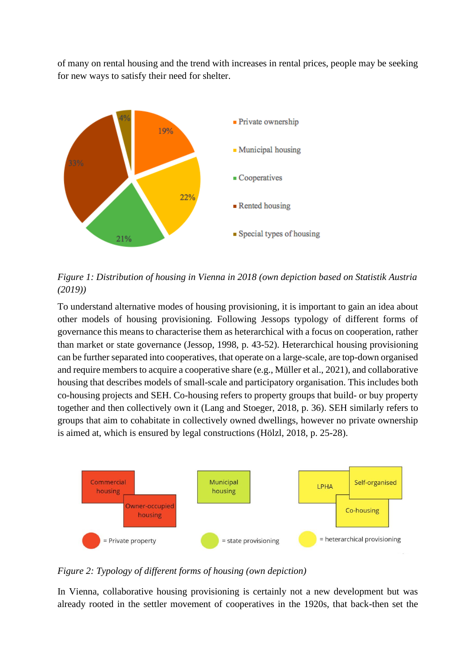of many on rental housing and the trend with increases in rental prices, people may be seeking for new ways to satisfy their need for shelter.



<span id="page-4-0"></span>*Figure 1: Distribution of housing in Vienna in 2018 (own depiction based on Statistik Austria (2019))*

To understand alternative modes of housing provisioning, it is important to gain an idea about other models of housing provisioning. Following Jessops typology of different forms of governance this means to characterise them as heterarchical with a focus on cooperation, rather than market or state governance (Jessop, 1998, p. 43-52). Heterarchical housing provisioning can be further separated into cooperatives, that operate on a large-scale, are top-down organised and require members to acquire a cooperative share (e.g., Müller et al., 2021), and collaborative housing that describes models of small-scale and participatory organisation. This includes both co-housing projects and SEH. Co-housing refers to property groups that build- or buy property together and then collectively own it (Lang and Stoeger, 2018, p. 36). SEH similarly refers to groups that aim to cohabitate in collectively owned dwellings, however no private ownership is aimed at, which is ensured by legal constructions (Hölzl, 2018, p. 25-28).



<span id="page-4-1"></span>*Figure 2: Typology of different forms of housing (own depiction)*

In Vienna, collaborative housing provisioning is certainly not a new development but was already rooted in the settler movement of cooperatives in the 1920s, that back-then set the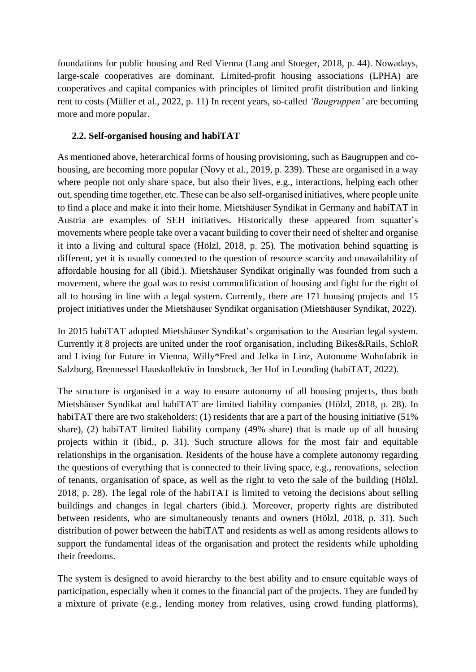foundations for public housing and Red Vienna (Lang and Stoeger, 2018, p. 44). Nowadays, large-scale cooperatives are dominant. Limited-profit housing associations (LPHA) are cooperatives and capital companies with principles of limited profit distribution and linking rent to costs (Müller et al., 2022, p. 11) In recent years, so-called *'Baugruppen'* are becoming more and more popular.

#### <span id="page-5-0"></span>**2.2. Self-organised housing and habiTAT**

As mentioned above, heterarchical forms of housing provisioning, such as Baugruppen and cohousing, are becoming more popular (Novy et al., 2019, p. 239). These are organised in a way where people not only share space, but also their lives, e.g., interactions, helping each other out, spending time together, etc. These can be also self-organised initiatives, where people unite to find a place and make it into their home. Mietshäuser Syndikat in Germany and habiTAT in Austria are examples of SEH initiatives. Historically these appeared from squatter's movements where people take over a vacant building to cover their need of shelter and organise it into a living and cultural space (Hölzl, 2018, p. 25). The motivation behind squatting is different, yet it is usually connected to the question of resource scarcity and unavailability of affordable housing for all (ibid.). Mietshäuser Syndikat originally was founded from such a movement, where the goal was to resist commodification of housing and fight for the right of all to housing in line with a legal system. Currently, there are 171 housing projects and 15 project initiatives under the Mietshäuser Syndikat organisation (Mietshäuser Syndikat, 2022).

In 2015 habiTAT adopted Mietshäuser Syndikat's organisation to the Austrian legal system. Currently it 8 projects are united under the roof organisation, including Bikes&Rails, SchloR and Living for Future in Vienna, Willy\*Fred and Jelka in Linz, Autonome Wohnfabrik in Salzburg, Brennessel Hauskollektiv in Innsbruck, 3er Hof in Leonding (habiTAT, 2022).

The structure is organised in a way to ensure autonomy of all housing projects, thus both Mietshäuser Syndikat and habiTAT are limited liability companies (Hölzl, 2018, p. 28). In habiTAT there are two stakeholders: (1) residents that are a part of the housing initiative (51%) share), (2) habiTAT limited liability company (49% share) that is made up of all housing projects within it (ibid., p. 31). Such structure allows for the most fair and equitable relationships in the organisation. Residents of the house have a complete autonomy regarding the questions of everything that is connected to their living space, e.g., renovations, selection of tenants, organisation of space, as well as the right to veto the sale of the building (Hölzl, 2018, p. 28). The legal role of the habiTAT is limited to vetoing the decisions about selling buildings and changes in legal charters (ibid.). Moreover, property rights are distributed between residents, who are simultaneously tenants and owners (Hölzl, 2018, p. 31). Such distribution of power between the habiTAT and residents as well as among residents allows to support the fundamental ideas of the organisation and protect the residents while upholding their freedoms.

The system is designed to avoid hierarchy to the best ability and to ensure equitable ways of participation, especially when it comes to the financial part of the projects. They are funded by a mixture of private (e.g., lending money from relatives, using crowd funding platforms),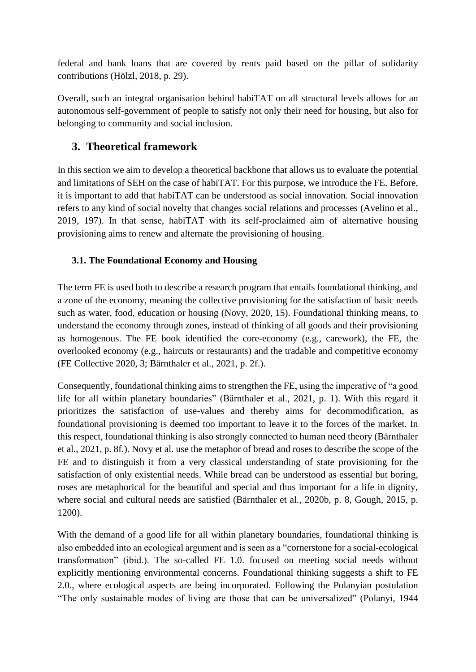federal and bank loans that are covered by rents paid based on the pillar of solidarity contributions (Hölzl, 2018, p. 29).

Overall, such an integral organisation behind habiTAT on all structural levels allows for an autonomous self-government of people to satisfy not only their need for housing, but also for belonging to community and social inclusion.

# <span id="page-6-0"></span>**3. Theoretical framework**

In this section we aim to develop a theoretical backbone that allows us to evaluate the potential and limitations of SEH on the case of habiTAT. For this purpose, we introduce the FE. Before, it is important to add that habiTAT can be understood as social innovation. Social innovation refers to any kind of social novelty that changes social relations and processes (Avelino et al., 2019, 197). In that sense, habiTAT with its self-proclaimed aim of alternative housing provisioning aims to renew and alternate the provisioning of housing.

#### <span id="page-6-1"></span>**3.1. The Foundational Economy and Housing**

The term FE is used both to describe a research program that entails foundational thinking, and a zone of the economy, meaning the collective provisioning for the satisfaction of basic needs such as water, food, education or housing (Novy, 2020, 15). Foundational thinking means, to understand the economy through zones, instead of thinking of all goods and their provisioning as homogenous. The FE book identified the core-economy (e.g., carework), the FE, the overlooked economy (e.g., haircuts or restaurants) and the tradable and competitive economy (FE Collective 2020, 3; Bärnthaler et al., 2021, p. 2f.).

Consequently, foundational thinking aims to strengthen the FE, using the imperative of "a good life for all within planetary boundaries" (Bärnthaler et al., 2021, p. 1). With this regard it prioritizes the satisfaction of use-values and thereby aims for decommodification, as foundational provisioning is deemed too important to leave it to the forces of the market. In this respect, foundational thinking is also strongly connected to human need theory (Bärnthaler et al., 2021, p. 8f.). Novy et al. use the metaphor of bread and roses to describe the scope of the FE and to distinguish it from a very classical understanding of state provisioning for the satisfaction of only existential needs. While bread can be understood as essential but boring, roses are metaphorical for the beautiful and special and thus important for a life in dignity, where social and cultural needs are satisfied (Bärnthaler et al., 2020b, p. 8, Gough, 2015, p. 1200).

With the demand of a good life for all within planetary boundaries, foundational thinking is also embedded into an ecological argument and is seen as a "cornerstone for a social-ecological transformation" (ibid.). The so-called FE 1.0. focused on meeting social needs without explicitly mentioning environmental concerns. Foundational thinking suggests a shift to FE 2.0., where ecological aspects are being incorporated. Following the Polanyian postulation "The only sustainable modes of living are those that can be universalized" (Polanyi, 1944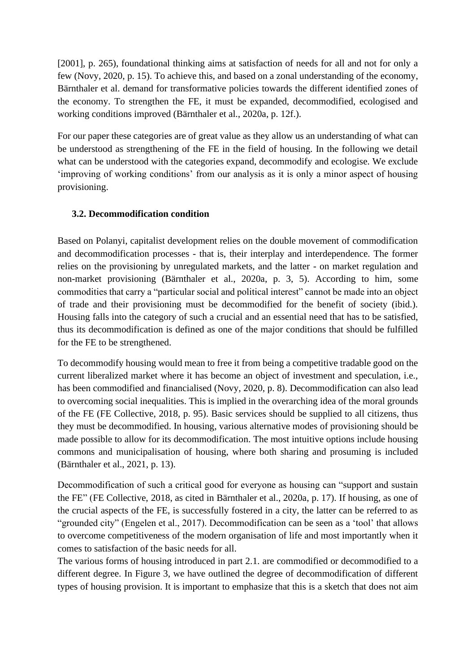[2001], p. 265), foundational thinking aims at satisfaction of needs for all and not for only a few (Novy, 2020, p. 15). To achieve this, and based on a zonal understanding of the economy, Bärnthaler et al. demand for transformative policies towards the different identified zones of the economy. To strengthen the FE, it must be expanded, decommodified, ecologised and working conditions improved (Bärnthaler et al., 2020a, p. 12f.).

For our paper these categories are of great value as they allow us an understanding of what can be understood as strengthening of the FE in the field of housing. In the following we detail what can be understood with the categories expand, decommodify and ecologise. We exclude 'improving of working conditions' from our analysis as it is only a minor aspect of housing provisioning.

#### <span id="page-7-0"></span>**3.2. Decommodification condition**

Based on Polanyi, capitalist development relies on the double movement of commodification and decommodification processes - that is, their interplay and interdependence. The former relies on the provisioning by unregulated markets, and the latter - on market regulation and non-market provisioning (Bärnthaler et al., 2020a, p. 3, 5). According to him, some commodities that carry a "particular social and political interest" cannot be made into an object of trade and their provisioning must be decommodified for the benefit of society (ibid.). Housing falls into the category of such a crucial and an essential need that has to be satisfied, thus its decommodification is defined as one of the major conditions that should be fulfilled for the FE to be strengthened.

To decommodify housing would mean to free it from being a competitive tradable good on the current liberalized market where it has become an object of investment and speculation, i.e., has been commodified and financialised (Novy, 2020, p. 8). Decommodification can also lead to overcoming social inequalities. This is implied in the overarching idea of the moral grounds of the FE (FE Collective, 2018, p. 95). Basic services should be supplied to all citizens, thus they must be decommodified. In housing, various alternative modes of provisioning should be made possible to allow for its decommodification. The most intuitive options include housing commons and municipalisation of housing, where both sharing and prosuming is included (Bärnthaler et al., 2021, p. 13).

Decommodification of such a critical good for everyone as housing can "support and sustain the FE" (FE Collective, 2018, as cited in Bärnthaler et al., 2020a, p. 17). If housing, as one of the crucial aspects of the FE, is successfully fostered in a city, the latter can be referred to as "grounded city" (Engelen et al., 2017). Decommodification can be seen as a 'tool' that allows to overcome competitiveness of the modern organisation of life and most importantly when it comes to satisfaction of the basic needs for all.

The various forms of housing introduced in part 2.1. are commodified or decommodified to a different degree. In Figure 3, we have outlined the degree of decommodification of different types of housing provision. It is important to emphasize that this is a sketch that does not aim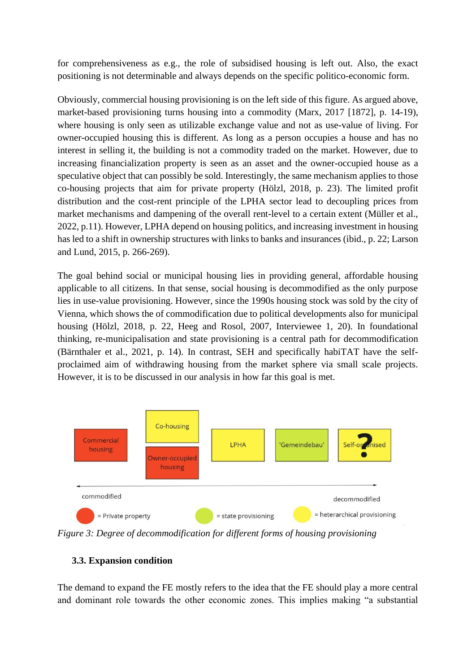for comprehensiveness as e.g., the role of subsidised housing is left out. Also, the exact positioning is not determinable and always depends on the specific politico-economic form.

Obviously, commercial housing provisioning is on the left side of this figure. As argued above, market-based provisioning turns housing into a commodity (Marx, 2017 [1872], p. 14-19), where housing is only seen as utilizable exchange value and not as use-value of living. For owner-occupied housing this is different. As long as a person occupies a house and has no interest in selling it, the building is not a commodity traded on the market. However, due to increasing financialization property is seen as an asset and the owner-occupied house as a speculative object that can possibly be sold. Interestingly, the same mechanism applies to those co-housing projects that aim for private property (Hölzl, 2018, p. 23). The limited profit distribution and the cost-rent principle of the LPHA sector lead to decoupling prices from market mechanisms and dampening of the overall rent-level to a certain extent (Müller et al., 2022, p.11). However, LPHA depend on housing politics, and increasing investment in housing has led to a shift in ownership structures with links to banks and insurances (ibid., p. 22; Larson and Lund, 2015, p. 266-269).

The goal behind social or municipal housing lies in providing general, affordable housing applicable to all citizens. In that sense, social housing is decommodified as the only purpose lies in use-value provisioning. However, since the 1990s housing stock was sold by the city of Vienna, which shows the of commodification due to political developments also for municipal housing (Hölzl, 2018, p. 22, Heeg and Rosol, 2007, Interviewee 1, 20). In foundational thinking, re-municipalisation and state provisioning is a central path for decommodification (Bärnthaler et al., 2021, p. 14). In contrast, SEH and specifically habiTAT have the selfproclaimed aim of withdrawing housing from the market sphere via small scale projects. However, it is to be discussed in our analysis in how far this goal is met.



<span id="page-8-1"></span>*Figure 3: Degree of decommodification for different forms of housing provisioning*

#### <span id="page-8-0"></span>**3.3. Expansion condition**

The demand to expand the FE mostly refers to the idea that the FE should play a more central and dominant role towards the other economic zones. This implies making "a substantial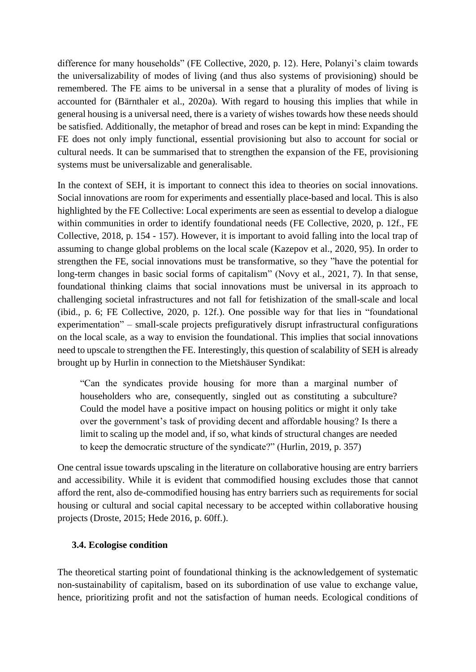difference for many households" (FE Collective, 2020, p. 12). Here, Polanyi's claim towards the universalizability of modes of living (and thus also systems of provisioning) should be remembered. The FE aims to be universal in a sense that a plurality of modes of living is accounted for (Bärnthaler et al., 2020a). With regard to housing this implies that while in general housing is a universal need, there is a variety of wishes towards how these needs should be satisfied. Additionally, the metaphor of bread and roses can be kept in mind: Expanding the FE does not only imply functional, essential provisioning but also to account for social or cultural needs. It can be summarised that to strengthen the expansion of the FE, provisioning systems must be universalizable and generalisable.

In the context of SEH, it is important to connect this idea to theories on social innovations. Social innovations are room for experiments and essentially place-based and local. This is also highlighted by the FE Collective: Local experiments are seen as essential to develop a dialogue within communities in order to identify foundational needs (FE Collective, 2020, p. 12f., FE Collective, 2018, p. 154 - 157). However, it is important to avoid falling into the local trap of assuming to change global problems on the local scale (Kazepov et al., 2020, 95). In order to strengthen the FE, social innovations must be transformative, so they "have the potential for long-term changes in basic social forms of capitalism" (Novy et al., 2021, 7). In that sense, foundational thinking claims that social innovations must be universal in its approach to challenging societal infrastructures and not fall for fetishization of the small-scale and local (ibid., p. 6; FE Collective, 2020, p. 12f.). One possible way for that lies in "foundational experimentation" – small-scale projects prefiguratively disrupt infrastructural configurations on the local scale, as a way to envision the foundational. This implies that social innovations need to upscale to strengthen the FE. Interestingly, this question of scalability of SEH is already brought up by Hurlin in connection to the Mietshäuser Syndikat:

"Can the syndicates provide housing for more than a marginal number of householders who are, consequently, singled out as constituting a subculture? Could the model have a positive impact on housing politics or might it only take over the government's task of providing decent and affordable housing? Is there a limit to scaling up the model and, if so, what kinds of structural changes are needed to keep the democratic structure of the syndicate?" (Hurlin, 2019, p. 357)

One central issue towards upscaling in the literature on collaborative housing are entry barriers and accessibility. While it is evident that commodified housing excludes those that cannot afford the rent, also de-commodified housing has entry barriers such as requirements for social housing or cultural and social capital necessary to be accepted within collaborative housing projects (Droste, 2015; Hede 2016, p. 60ff.).

#### <span id="page-9-0"></span>**3.4. Ecologise condition**

The theoretical starting point of foundational thinking is the acknowledgement of systematic non-sustainability of capitalism, based on its subordination of use value to exchange value, hence, prioritizing profit and not the satisfaction of human needs. Ecological conditions of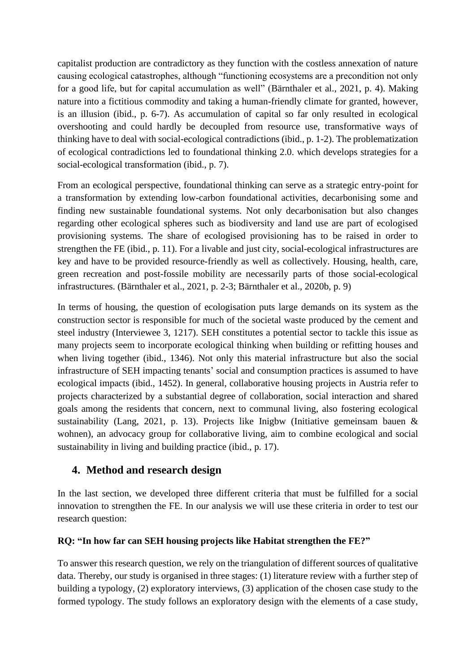capitalist production are contradictory as they function with the costless annexation of nature causing ecological catastrophes, although "functioning ecosystems are a precondition not only for a good life, but for capital accumulation as well" (Bärnthaler et al., 2021, p. 4). Making nature into a fictitious commodity and taking a human-friendly climate for granted, however, is an illusion (ibid., p. 6-7). As accumulation of capital so far only resulted in ecological overshooting and could hardly be decoupled from resource use, transformative ways of thinking have to deal with social-ecological contradictions (ibid., p. 1-2). The problematization of ecological contradictions led to foundational thinking 2.0. which develops strategies for a social-ecological transformation (ibid., p. 7).

From an ecological perspective, foundational thinking can serve as a strategic entry-point for a transformation by extending low-carbon foundational activities, decarbonising some and finding new sustainable foundational systems. Not only decarbonisation but also changes regarding other ecological spheres such as biodiversity and land use are part of ecologised provisioning systems. The share of ecologised provisioning has to be raised in order to strengthen the FE (ibid., p. 11). For a livable and just city, social-ecological infrastructures are key and have to be provided resource-friendly as well as collectively. Housing, health, care, green recreation and post-fossile mobility are necessarily parts of those social-ecological infrastructures. (Bärnthaler et al., 2021, p. 2-3; Bärnthaler et al., 2020b, p. 9)

In terms of housing, the question of ecologisation puts large demands on its system as the construction sector is responsible for much of the societal waste produced by the cement and steel industry (Interviewee 3, 1217). SEH constitutes a potential sector to tackle this issue as many projects seem to incorporate ecological thinking when building or refitting houses and when living together (ibid., 1346). Not only this material infrastructure but also the social infrastructure of SEH impacting tenants' social and consumption practices is assumed to have ecological impacts (ibid., 1452). In general, collaborative housing projects in Austria refer to projects characterized by a substantial degree of collaboration, social interaction and shared goals among the residents that concern, next to communal living, also fostering ecological sustainability (Lang, 2021, p. 13). Projects like Inigbw (Initiative gemeinsam bauen & wohnen), an advocacy group for collaborative living, aim to combine ecological and social sustainability in living and building practice (ibid., p. 17).

### <span id="page-10-0"></span>**4. Method and research design**

In the last section, we developed three different criteria that must be fulfilled for a social innovation to strengthen the FE. In our analysis we will use these criteria in order to test our research question:

#### **RQ: "In how far can SEH housing projects like Habitat strengthen the FE?"**

To answer this research question, we rely on the triangulation of different sources of qualitative data. Thereby, our study is organised in three stages: (1) literature review with a further step of building a typology, (2) exploratory interviews, (3) application of the chosen case study to the formed typology. The study follows an exploratory design with the elements of a case study,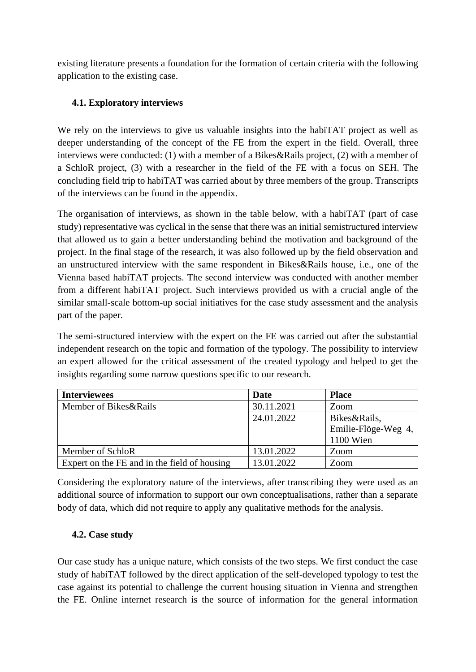existing literature presents a foundation for the formation of certain criteria with the following application to the existing case.

#### <span id="page-11-0"></span>**4.1. Exploratory interviews**

We rely on the interviews to give us valuable insights into the habiTAT project as well as deeper understanding of the concept of the FE from the expert in the field. Overall, three interviews were conducted: (1) with a member of a Bikes&Rails project, (2) with a member of a SchloR project, (3) with a researcher in the field of the FE with a focus on SEH. The concluding field trip to habiTAT was carried about by three members of the group. Transcripts of the interviews can be found in the appendix.

The organisation of interviews, as shown in the table below, with a habiTAT (part of case study) representative was cyclical in the sense that there was an initial semistructured interview that allowed us to gain a better understanding behind the motivation and background of the project. In the final stage of the research, it was also followed up by the field observation and an unstructured interview with the same respondent in Bikes&Rails house, i.e., one of the Vienna based habiTAT projects. The second interview was conducted with another member from a different habiTAT project. Such interviews provided us with a crucial angle of the similar small-scale bottom-up social initiatives for the case study assessment and the analysis part of the paper.

The semi-structured interview with the expert on the FE was carried out after the substantial independent research on the topic and formation of the typology. The possibility to interview an expert allowed for the critical assessment of the created typology and helped to get the insights regarding some narrow questions specific to our research.

| <b>Interviewees</b>                          | <b>Date</b> | <b>Place</b>        |  |
|----------------------------------------------|-------------|---------------------|--|
| Member of Bikes&Rails                        | 30.11.2021  | Zoom                |  |
|                                              | 24.01.2022  | Bikes&Rails,        |  |
|                                              |             | Emilie-Flöge-Weg 4, |  |
|                                              |             | 1100 Wien           |  |
| Member of SchloR                             | 13.01.2022  | Zoom                |  |
| Expert on the FE and in the field of housing | 13.01.2022  | Zoom                |  |

Considering the exploratory nature of the interviews, after transcribing they were used as an additional source of information to support our own conceptualisations, rather than a separate body of data, which did not require to apply any qualitative methods for the analysis.

#### <span id="page-11-1"></span>**4.2. Case study**

Our case study has a unique nature, which consists of the two steps. We first conduct the case study of habiTAT followed by the direct application of the self-developed typology to test the case against its potential to challenge the current housing situation in Vienna and strengthen the FE. Online internet research is the source of information for the general information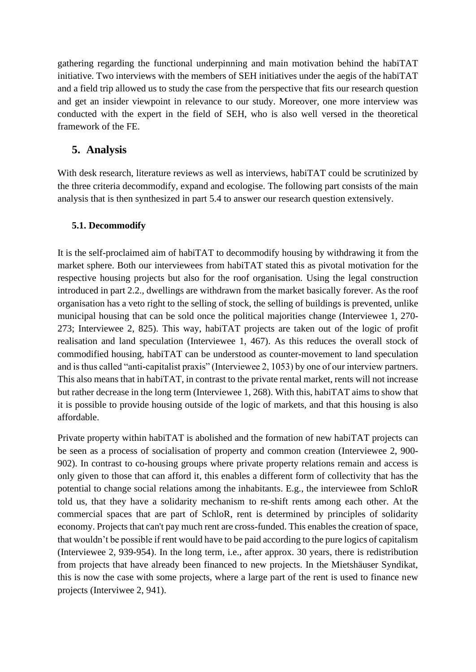gathering regarding the functional underpinning and main motivation behind the habiTAT initiative. Two interviews with the members of SEH initiatives under the aegis of the habiTAT and a field trip allowed us to study the case from the perspective that fits our research question and get an insider viewpoint in relevance to our study. Moreover, one more interview was conducted with the expert in the field of SEH, who is also well versed in the theoretical framework of the FE.

#### <span id="page-12-0"></span>**5. Analysis**

With desk research, literature reviews as well as interviews, habiTAT could be scrutinized by the three criteria decommodify, expand and ecologise. The following part consists of the main analysis that is then synthesized in part 5.4 to answer our research question extensively.

#### <span id="page-12-1"></span>**5.1. Decommodify**

It is the self-proclaimed aim of habiTAT to decommodify housing by withdrawing it from the market sphere. Both our interviewees from habiTAT stated this as pivotal motivation for the respective housing projects but also for the roof organisation. Using the legal construction introduced in part 2.2., dwellings are withdrawn from the market basically forever. As the roof organisation has a veto right to the selling of stock, the selling of buildings is prevented, unlike municipal housing that can be sold once the political majorities change (Interviewee 1, 270- 273; Interviewee 2, 825). This way, habiTAT projects are taken out of the logic of profit realisation and land speculation (Interviewee 1, 467). As this reduces the overall stock of commodified housing, habiTAT can be understood as counter-movement to land speculation and is thus called "anti-capitalist praxis" (Interviewee 2, 1053) by one of our interview partners. This also means that in habiTAT, in contrast to the private rental market, rents will not increase but rather decrease in the long term (Interviewee 1, 268). With this, habiTAT aims to show that it is possible to provide housing outside of the logic of markets, and that this housing is also affordable.

Private property within habiTAT is abolished and the formation of new habiTAT projects can be seen as a process of socialisation of property and common creation (Interviewee 2, 900- 902). In contrast to co-housing groups where private property relations remain and access is only given to those that can afford it, this enables a different form of collectivity that has the potential to change social relations among the inhabitants. E.g., the interviewee from SchloR told us, that they have a solidarity mechanism to re-shift rents among each other. At the commercial spaces that are part of SchloR, rent is determined by principles of solidarity economy. Projects that can't pay much rent are cross-funded. This enables the creation of space, that wouldn't be possible if rent would have to be paid according to the pure logics of capitalism (Interviewee 2, 939-954). In the long term, i.e., after approx. 30 years, there is redistribution from projects that have already been financed to new projects. In the Mietshäuser Syndikat, this is now the case with some projects, where a large part of the rent is used to finance new projects (Interviwee 2, 941).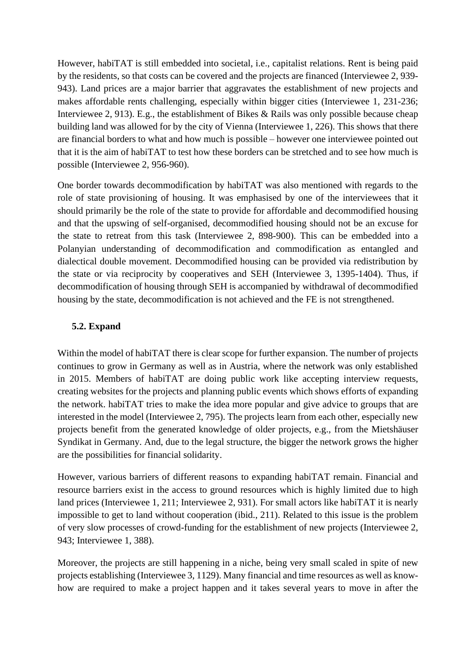However, habiTAT is still embedded into societal, i.e., capitalist relations. Rent is being paid by the residents, so that costs can be covered and the projects are financed (Interviewee 2, 939- 943). Land prices are a major barrier that aggravates the establishment of new projects and makes affordable rents challenging, especially within bigger cities (Interviewee 1, 231-236; Interviewee 2, 913). E.g., the establishment of Bikes & Rails was only possible because cheap building land was allowed for by the city of Vienna (Interviewee 1, 226). This shows that there are financial borders to what and how much is possible – however one interviewee pointed out that it is the aim of habiTAT to test how these borders can be stretched and to see how much is possible (Interviewee 2, 956-960).

One border towards decommodification by habiTAT was also mentioned with regards to the role of state provisioning of housing. It was emphasised by one of the interviewees that it should primarily be the role of the state to provide for affordable and decommodified housing and that the upswing of self-organised, decommodified housing should not be an excuse for the state to retreat from this task (Interviewee 2, 898-900). This can be embedded into a Polanyian understanding of decommodification and commodification as entangled and dialectical double movement. Decommodified housing can be provided via redistribution by the state or via reciprocity by cooperatives and SEH (Interviewee 3, 1395-1404). Thus, if decommodification of housing through SEH is accompanied by withdrawal of decommodified housing by the state, decommodification is not achieved and the FE is not strengthened.

#### <span id="page-13-0"></span>**5.2. Expand**

Within the model of habiTAT there is clear scope for further expansion. The number of projects continues to grow in Germany as well as in Austria, where the network was only established in 2015. Members of habiTAT are doing public work like accepting interview requests, creating websites for the projects and planning public events which shows efforts of expanding the network. habiTAT tries to make the idea more popular and give advice to groups that are interested in the model (Interviewee 2, 795). The projects learn from each other, especially new projects benefit from the generated knowledge of older projects, e.g., from the Mietshäuser Syndikat in Germany. And, due to the legal structure, the bigger the network grows the higher are the possibilities for financial solidarity.

However, various barriers of different reasons to expanding habiTAT remain. Financial and resource barriers exist in the access to ground resources which is highly limited due to high land prices (Interviewee 1, 211; Interviewee 2, 931). For small actors like habiTAT it is nearly impossible to get to land without cooperation (ibid., 211). Related to this issue is the problem of very slow processes of crowd-funding for the establishment of new projects (Interviewee 2, 943; Interviewee 1, 388).

Moreover, the projects are still happening in a niche, being very small scaled in spite of new projects establishing (Interviewee 3, 1129). Many financial and time resources as well as knowhow are required to make a project happen and it takes several years to move in after the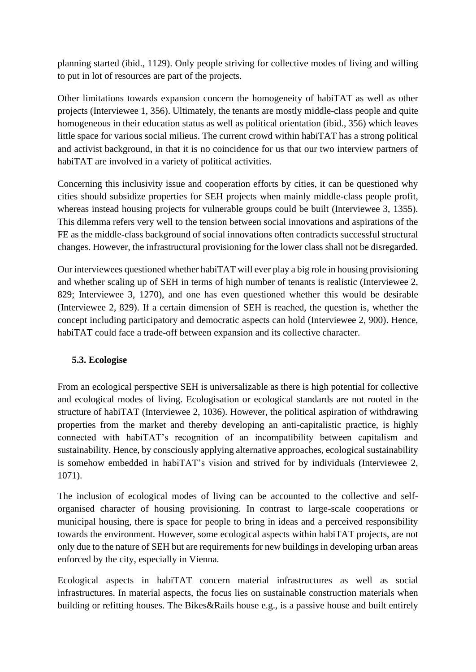planning started (ibid., 1129). Only people striving for collective modes of living and willing to put in lot of resources are part of the projects.

Other limitations towards expansion concern the homogeneity of habiTAT as well as other projects (Interviewee 1, 356). Ultimately, the tenants are mostly middle-class people and quite homogeneous in their education status as well as political orientation (ibid., 356) which leaves little space for various social milieus. The current crowd within habiTAT has a strong political and activist background, in that it is no coincidence for us that our two interview partners of habiTAT are involved in a variety of political activities.

Concerning this inclusivity issue and cooperation efforts by cities, it can be questioned why cities should subsidize properties for SEH projects when mainly middle-class people profit, whereas instead housing projects for vulnerable groups could be built (Interviewee 3, 1355). This dilemma refers very well to the tension between social innovations and aspirations of the FE as the middle-class background of social innovations often contradicts successful structural changes. However, the infrastructural provisioning for the lower class shall not be disregarded.

Our interviewees questioned whether habiTAT will ever play a big role in housing provisioning and whether scaling up of SEH in terms of high number of tenants is realistic (Interviewee 2, 829; Interviewee 3, 1270), and one has even questioned whether this would be desirable (Interviewee 2, 829). If a certain dimension of SEH is reached, the question is, whether the concept including participatory and democratic aspects can hold (Interviewee 2, 900). Hence, habiTAT could face a trade-off between expansion and its collective character.

#### <span id="page-14-0"></span>**5.3. Ecologise**

From an ecological perspective SEH is universalizable as there is high potential for collective and ecological modes of living. Ecologisation or ecological standards are not rooted in the structure of habiTAT (Interviewee 2, 1036). However, the political aspiration of withdrawing properties from the market and thereby developing an anti-capitalistic practice, is highly connected with habiTAT's recognition of an incompatibility between capitalism and sustainability. Hence, by consciously applying alternative approaches, ecological sustainability is somehow embedded in habiTAT's vision and strived for by individuals (Interviewee 2, 1071).

The inclusion of ecological modes of living can be accounted to the collective and selforganised character of housing provisioning. In contrast to large-scale cooperations or municipal housing, there is space for people to bring in ideas and a perceived responsibility towards the environment. However, some ecological aspects within habiTAT projects, are not only due to the nature of SEH but are requirements for new buildings in developing urban areas enforced by the city, especially in Vienna.

Ecological aspects in habiTAT concern material infrastructures as well as social infrastructures. In material aspects, the focus lies on sustainable construction materials when building or refitting houses. The Bikes&Rails house e.g., is a passive house and built entirely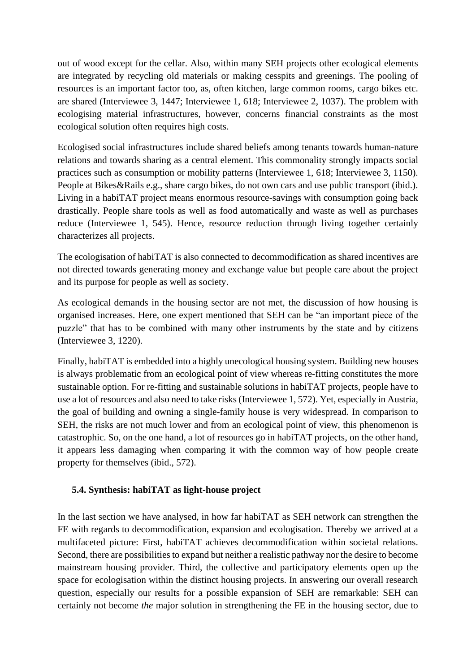out of wood except for the cellar. Also, within many SEH projects other ecological elements are integrated by recycling old materials or making cesspits and greenings. The pooling of resources is an important factor too, as, often kitchen, large common rooms, cargo bikes etc. are shared (Interviewee 3, 1447; Interviewee 1, 618; Interviewee 2, 1037). The problem with ecologising material infrastructures, however, concerns financial constraints as the most ecological solution often requires high costs.

Ecologised social infrastructures include shared beliefs among tenants towards human-nature relations and towards sharing as a central element. This commonality strongly impacts social practices such as consumption or mobility patterns (Interviewee 1, 618; Interviewee 3, 1150). People at Bikes&Rails e.g., share cargo bikes, do not own cars and use public transport (ibid.). Living in a habiTAT project means enormous resource-savings with consumption going back drastically. People share tools as well as food automatically and waste as well as purchases reduce (Interviewee 1, 545). Hence, resource reduction through living together certainly characterizes all projects.

The ecologisation of habiTAT is also connected to decommodification as shared incentives are not directed towards generating money and exchange value but people care about the project and its purpose for people as well as society.

As ecological demands in the housing sector are not met, the discussion of how housing is organised increases. Here, one expert mentioned that SEH can be "an important piece of the puzzle" that has to be combined with many other instruments by the state and by citizens (Interviewee 3, 1220).

Finally, habiTAT is embedded into a highly unecological housing system. Building new houses is always problematic from an ecological point of view whereas re-fitting constitutes the more sustainable option. For re-fitting and sustainable solutions in habiTAT projects, people have to use a lot of resources and also need to take risks (Interviewee 1, 572). Yet, especially in Austria, the goal of building and owning a single-family house is very widespread. In comparison to SEH, the risks are not much lower and from an ecological point of view, this phenomenon is catastrophic. So, on the one hand, a lot of resources go in habiTAT projects, on the other hand, it appears less damaging when comparing it with the common way of how people create property for themselves (ibid., 572).

#### <span id="page-15-0"></span>**5.4. Synthesis: habiTAT as light-house project**

In the last section we have analysed, in how far habiTAT as SEH network can strengthen the FE with regards to decommodification, expansion and ecologisation. Thereby we arrived at a multifaceted picture: First, habiTAT achieves decommodification within societal relations. Second, there are possibilities to expand but neither a realistic pathway nor the desire to become mainstream housing provider. Third, the collective and participatory elements open up the space for ecologisation within the distinct housing projects. In answering our overall research question, especially our results for a possible expansion of SEH are remarkable: SEH can certainly not become *the* major solution in strengthening the FE in the housing sector, due to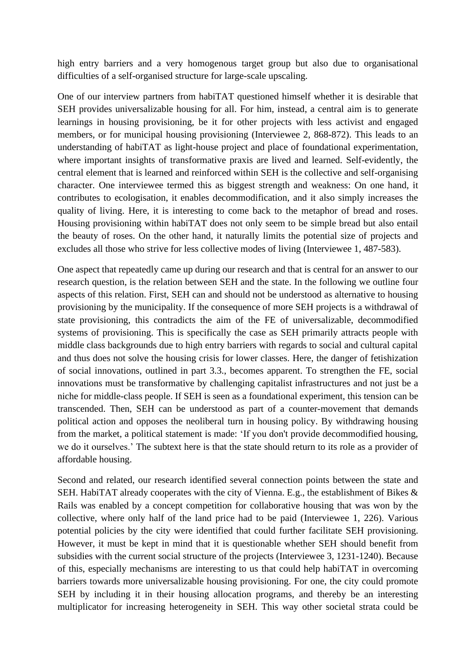high entry barriers and a very homogenous target group but also due to organisational difficulties of a self-organised structure for large-scale upscaling.

One of our interview partners from habiTAT questioned himself whether it is desirable that SEH provides universalizable housing for all. For him, instead, a central aim is to generate learnings in housing provisioning, be it for other projects with less activist and engaged members, or for municipal housing provisioning (Interviewee 2, 868-872). This leads to an understanding of habiTAT as light-house project and place of foundational experimentation, where important insights of transformative praxis are lived and learned. Self-evidently, the central element that is learned and reinforced within SEH is the collective and self-organising character. One interviewee termed this as biggest strength and weakness: On one hand, it contributes to ecologisation, it enables decommodification, and it also simply increases the quality of living. Here, it is interesting to come back to the metaphor of bread and roses. Housing provisioning within habiTAT does not only seem to be simple bread but also entail the beauty of roses. On the other hand, it naturally limits the potential size of projects and excludes all those who strive for less collective modes of living (Interviewee 1, 487-583).

One aspect that repeatedly came up during our research and that is central for an answer to our research question, is the relation between SEH and the state. In the following we outline four aspects of this relation. First, SEH can and should not be understood as alternative to housing provisioning by the municipality. If the consequence of more SEH projects is a withdrawal of state provisioning, this contradicts the aim of the FE of universalizable, decommodified systems of provisioning. This is specifically the case as SEH primarily attracts people with middle class backgrounds due to high entry barriers with regards to social and cultural capital and thus does not solve the housing crisis for lower classes. Here, the danger of fetishization of social innovations, outlined in part 3.3., becomes apparent. To strengthen the FE, social innovations must be transformative by challenging capitalist infrastructures and not just be a niche for middle-class people. If SEH is seen as a foundational experiment, this tension can be transcended. Then, SEH can be understood as part of a counter-movement that demands political action and opposes the neoliberal turn in housing policy. By withdrawing housing from the market, a political statement is made: 'If you don't provide decommodified housing, we do it ourselves.' The subtext here is that the state should return to its role as a provider of affordable housing.

Second and related, our research identified several connection points between the state and SEH. HabiTAT already cooperates with the city of Vienna. E.g., the establishment of Bikes & Rails was enabled by a concept competition for collaborative housing that was won by the collective, where only half of the land price had to be paid (Interviewee 1, 226). Various potential policies by the city were identified that could further facilitate SEH provisioning. However, it must be kept in mind that it is questionable whether SEH should benefit from subsidies with the current social structure of the projects (Interviewee 3, 1231-1240). Because of this, especially mechanisms are interesting to us that could help habiTAT in overcoming barriers towards more universalizable housing provisioning. For one, the city could promote SEH by including it in their housing allocation programs, and thereby be an interesting multiplicator for increasing heterogeneity in SEH. This way other societal strata could be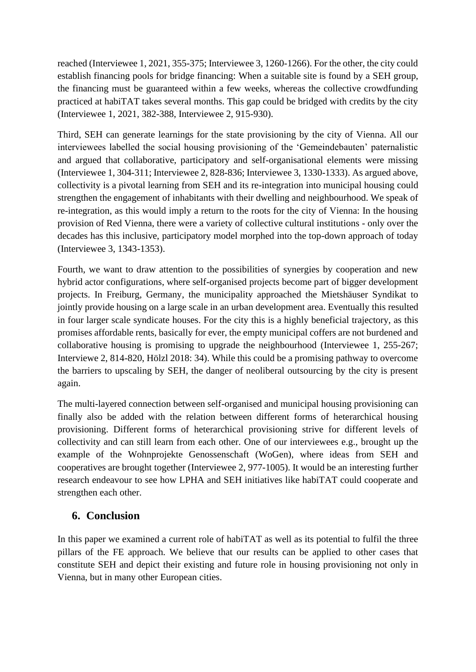reached (Interviewee 1, 2021, 355-375; Interviewee 3, 1260-1266). For the other, the city could establish financing pools for bridge financing: When a suitable site is found by a SEH group, the financing must be guaranteed within a few weeks, whereas the collective crowdfunding practiced at habiTAT takes several months. This gap could be bridged with credits by the city (Interviewee 1, 2021, 382-388, Interviewee 2, 915-930).

Third, SEH can generate learnings for the state provisioning by the city of Vienna. All our interviewees labelled the social housing provisioning of the 'Gemeindebauten' paternalistic and argued that collaborative, participatory and self-organisational elements were missing (Interviewee 1, 304-311; Interviewee 2, 828-836; Interviewee 3, 1330-1333). As argued above, collectivity is a pivotal learning from SEH and its re-integration into municipal housing could strengthen the engagement of inhabitants with their dwelling and neighbourhood. We speak of re-integration, as this would imply a return to the roots for the city of Vienna: In the housing provision of Red Vienna, there were a variety of collective cultural institutions - only over the decades has this inclusive, participatory model morphed into the top-down approach of today (Interviewee 3, 1343-1353).

Fourth, we want to draw attention to the possibilities of synergies by cooperation and new hybrid actor configurations, where self-organised projects become part of bigger development projects. In Freiburg, Germany, the municipality approached the Mietshäuser Syndikat to jointly provide housing on a large scale in an urban development area. Eventually this resulted in four larger scale syndicate houses. For the city this is a highly beneficial trajectory, as this promises affordable rents, basically for ever, the empty municipal coffers are not burdened and collaborative housing is promising to upgrade the neighbourhood (Interviewee 1, 255-267; Interviewe 2, 814-820, Hölzl 2018: 34). While this could be a promising pathway to overcome the barriers to upscaling by SEH, the danger of neoliberal outsourcing by the city is present again.

The multi-layered connection between self-organised and municipal housing provisioning can finally also be added with the relation between different forms of heterarchical housing provisioning. Different forms of heterarchical provisioning strive for different levels of collectivity and can still learn from each other. One of our interviewees e.g., brought up the example of the Wohnprojekte Genossenschaft (WoGen), where ideas from SEH and cooperatives are brought together (Interviewee 2, 977-1005). It would be an interesting further research endeavour to see how LPHA and SEH initiatives like habiTAT could cooperate and strengthen each other.

# <span id="page-17-0"></span>**6. Conclusion**

In this paper we examined a current role of habiTAT as well as its potential to fulfil the three pillars of the FE approach. We believe that our results can be applied to other cases that constitute SEH and depict their existing and future role in housing provisioning not only in Vienna, but in many other European cities.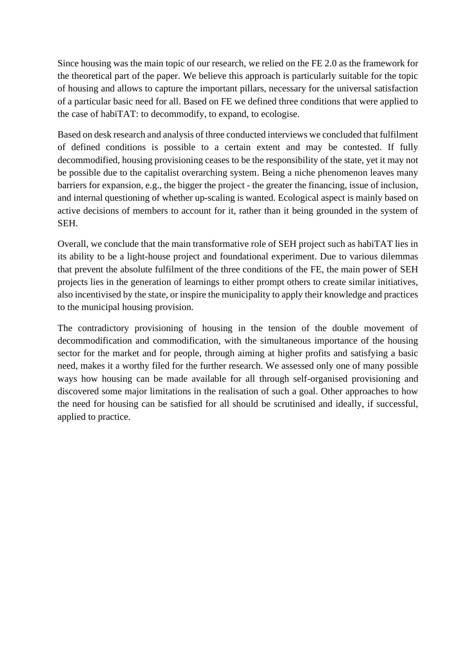Since housing was the main topic of our research, we relied on the FE 2.0 as the framework for the theoretical part of the paper. We believe this approach is particularly suitable for the topic of housing and allows to capture the important pillars, necessary for the universal satisfaction of a particular basic need for all. Based on FE we defined three conditions that were applied to the case of habiTAT: to decommodify, to expand, to ecologise.

Based on desk research and analysis of three conducted interviews we concluded that fulfilment of defined conditions is possible to a certain extent and may be contested. If fully decommodified, housing provisioning ceases to be the responsibility of the state, yet it may not be possible due to the capitalist overarching system. Being a niche phenomenon leaves many barriers for expansion, e.g., the bigger the project - the greater the financing, issue of inclusion, and internal questioning of whether up-scaling is wanted. Ecological aspect is mainly based on active decisions of members to account for it, rather than it being grounded in the system of SEH.

Overall, we conclude that the main transformative role of SEH project such as habiTAT lies in its ability to be a light-house project and foundational experiment. Due to various dilemmas that prevent the absolute fulfilment of the three conditions of the FE, the main power of SEH projects lies in the generation of learnings to either prompt others to create similar initiatives, also incentivised by the state, or inspire the municipality to apply their knowledge and practices to the municipal housing provision.

The contradictory provisioning of housing in the tension of the double movement of decommodification and commodification, with the simultaneous importance of the housing sector for the market and for people, through aiming at higher profits and satisfying a basic need, makes it a worthy filed for the further research. We assessed only one of many possible ways how housing can be made available for all through self-organised provisioning and discovered some major limitations in the realisation of such a goal. Other approaches to how the need for housing can be satisfied for all should be scrutinised and ideally, if successful, applied to practice.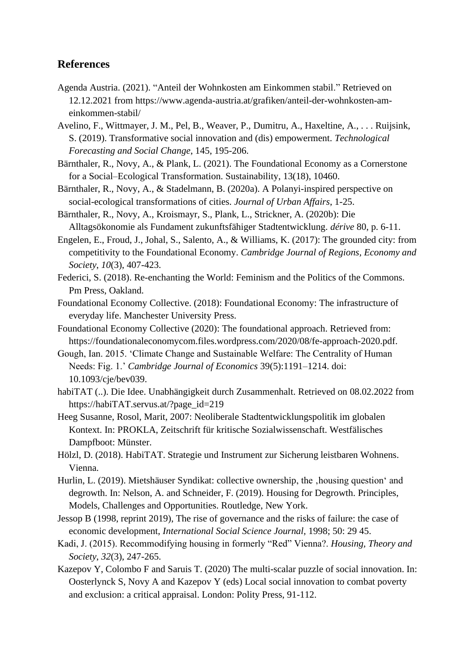#### <span id="page-19-0"></span>**References**

- Agenda Austria. (2021). ["Anteil der Wohnkosten am Einkommen stabil.](https://www.agenda-austria.at/grafiken/anteil-der-wohnkosten-am-einkommen-stabil/)" Retrieved on 12.12.2021 from [https://www.agenda-austria.at/grafiken/anteil-der-wohnkosten-am](https://www.agenda-austria.at/grafiken/anteil-der-wohnkosten-am-einkommen-stabil/)[einkommen-stabil/](https://www.agenda-austria.at/grafiken/anteil-der-wohnkosten-am-einkommen-stabil/)
- Avelino, F., Wittmayer, J. M., Pel, B., Weaver, P., Dumitru, A., Haxeltine, A., . . . Ruijsink, S. (2019). Transformative social innovation and (dis) empowerment. *Technological Forecasting and Social Change*, 145, 195-206.
- Bärnthaler, R., Novy, A., & Plank, L. (2021). The Foundational Economy as a Cornerstone for a Social–Ecological Transformation. Sustainability, 13(18), 10460.
- Bärnthaler, R., Novy, A., & Stadelmann, B. (2020a). A Polanyi-inspired perspective on social-ecological transformations of cities. *Journal of Urban Affairs*, 1-25.
- Bärnthaler, R., Novy, A., Kroismayr, S., Plank, L., Strickner, A. (2020b): Die Alltagsökonomie als Fundament zukunftsfähiger Stadtentwicklung. *dérive* 80, p. 6-11.
- Engelen, E., Froud, J., Johal, S., Salento, A., & Williams, K. (2017): The grounded city: from competitivity to the Foundational Economy. *Cambridge Journal of Regions, Economy and Society*, *10*(3), 407-423.
- Federici, S. (2018). Re-enchanting the World: Feminism and the Politics of the Commons. Pm Press, Oakland.
- Foundational Economy Collective. (2018): Foundational Economy: The infrastructure of everyday life. Manchester University Press.
- Foundational Economy Collective (2020): The foundational approach. Retrieved from: https://foundationaleconomycom.files.wordpress.com/2020/08/fe-approach-2020.pdf.
- Gough, Ian. 2015. 'Climate Change and Sustainable Welfare: The Centrality of Human Needs: Fig. 1.' *Cambridge Journal of Economics* 39(5):1191–1214. doi[:](https://doi.org/10.1093/cje/bev039) [10.1093/cje/bev039.](https://doi.org/10.1093/cje/bev039)
- habiTAT (..). Die Idee. Unabhängigkeit durch Zusammenhalt. Retrieved on 08.02.2022 from [https://habiTAT.servus.at/?page\\_id=219](https://habitat.servus.at/?page_id=219)
- Heeg Susanne, Rosol, Marit, 2007: Neoliberale Stadtentwicklungspolitik im globalen Kontext. In: PROKLA, Zeitschrift für kritische Sozialwissenschaft. Westfälisches Dampfboot: Münster.
- Hölzl, D. (2018). HabiTAT. Strategie und Instrument zur Sicherung leistbaren Wohnens. Vienna.
- Hurlin, L. (2019). Mietshäuser Syndikat: collective ownership, the , housing question' and degrowth. In: Nelson, A. and Schneider, F. (2019). Housing for Degrowth. Principles, Models, Challenges and Opportunities. Routledge, New York.
- Jessop B (1998, reprint 2019), The rise of governance and the risks of failure: the case of economic development, *International Social Science Journal,* 1998; 50: 29 45.
- Kadi, J. (2015). Recommodifying housing in formerly "Red" Vienna?. *Housing, Theory and Society*, *32*(3), 247-265.
- Kazepov Y, Colombo F and Saruis T. (2020) The multi-scalar puzzle of social innovation. In: Oosterlynck S, Novy A and Kazepov Y (eds) Local social innovation to combat poverty and exclusion: a critical appraisal. London: Polity Press, 91-112.